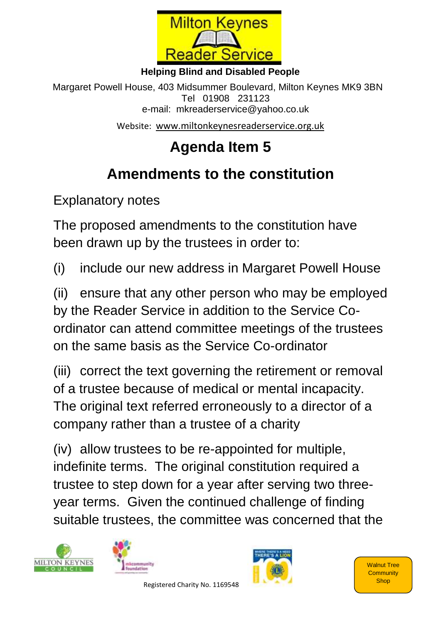

## **Helping Blind and Disabled People**

Margaret Powell House, 403 Midsummer Boulevard, Milton Keynes MK9 3BN Tel 01908 231123 e-mail: mkreaderservice@yahoo.co.uk

Website: [www.miltonkeynesreaderservice.org.uk](http://www.miltonkeynesreaderservice.org.uk/)

## **Agenda Item 5**

## **Amendments to the constitution**

Explanatory notes

The proposed amendments to the constitution have been drawn up by the trustees in order to:

(i) include our new address in Margaret Powell House

(ii) ensure that any other person who may be employed by the Reader Service in addition to the Service Coordinator can attend committee meetings of the trustees on the same basis as the Service Co-ordinator

(iii) correct the text governing the retirement or removal of a trustee because of medical or mental incapacity. The original text referred erroneously to a director of a company rather than a trustee of a charity

(iv) allow trustees to be re-appointed for multiple, indefinite terms. The original constitution required a trustee to step down for a year after serving two threeyear terms. Given the continued challenge of finding suitable trustees, the committee was concerned that the





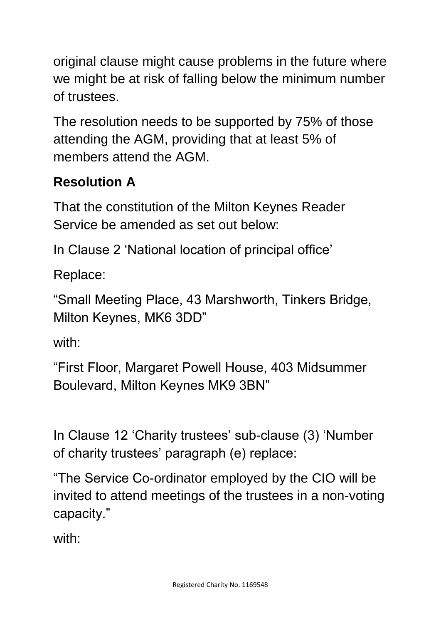original clause might cause problems in the future where we might be at risk of falling below the minimum number of trustees.

The resolution needs to be supported by 75% of those attending the AGM, providing that at least 5% of members attend the AGM.

## **Resolution A**

That the constitution of the Milton Keynes Reader Service be amended as set out below:

In Clause 2 'National location of principal office'

Replace:

"Small Meeting Place, 43 Marshworth, Tinkers Bridge, Milton Keynes, MK6 3DD"

with:

"First Floor, Margaret Powell House, 403 Midsummer Boulevard, Milton Keynes MK9 3BN"

In Clause 12 'Charity trustees' sub-clause (3) 'Number of charity trustees' paragraph (e) replace:

"The Service Co-ordinator employed by the CIO will be invited to attend meetings of the trustees in a non-voting capacity."

with: